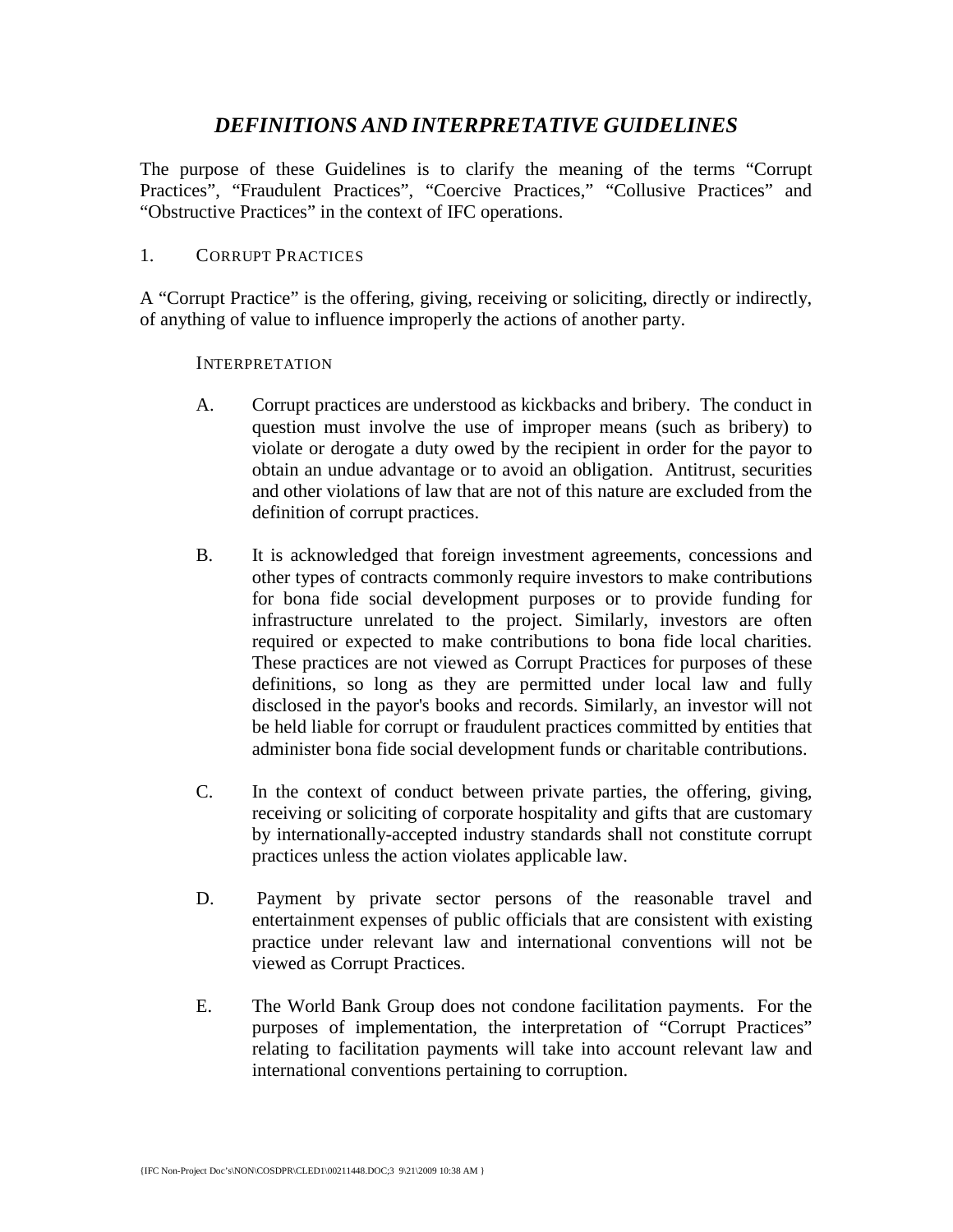# *DEFINITIONS AND INTERPRETATIVE GUIDELINES*

The purpose of these Guidelines is to clarify the meaning of the terms "Corrupt Practices", "Fraudulent Practices", "Coercive Practices," "Collusive Practices" and "Obstructive Practices" in the context of IFC operations.

## 1. CORRUPT PRACTICES

A "Corrupt Practice" is the offering, giving, receiving or soliciting, directly or indirectly, of anything of value to influence improperly the actions of another party.

### INTERPRETATION

- A. Corrupt practices are understood as kickbacks and bribery. The conduct in question must involve the use of improper means (such as bribery) to violate or derogate a duty owed by the recipient in order for the payor to obtain an undue advantage or to avoid an obligation. Antitrust, securities and other violations of law that are not of this nature are excluded from the definition of corrupt practices.
- B. It is acknowledged that foreign investment agreements, concessions and other types of contracts commonly require investors to make contributions for bona fide social development purposes or to provide funding for infrastructure unrelated to the project. Similarly, investors are often required or expected to make contributions to bona fide local charities. These practices are not viewed as Corrupt Practices for purposes of these definitions, so long as they are permitted under local law and fully disclosed in the payor's books and records. Similarly, an investor will not be held liable for corrupt or fraudulent practices committed by entities that administer bona fide social development funds or charitable contributions.
- C. In the context of conduct between private parties, the offering, giving, receiving or soliciting of corporate hospitality and gifts that are customary by internationally-accepted industry standards shall not constitute corrupt practices unless the action violates applicable law.
- D. Payment by private sector persons of the reasonable travel and entertainment expenses of public officials that are consistent with existing practice under relevant law and international conventions will not be viewed as Corrupt Practices.
- E. The World Bank Group does not condone facilitation payments. For the purposes of implementation, the interpretation of "Corrupt Practices" relating to facilitation payments will take into account relevant law and international conventions pertaining to corruption.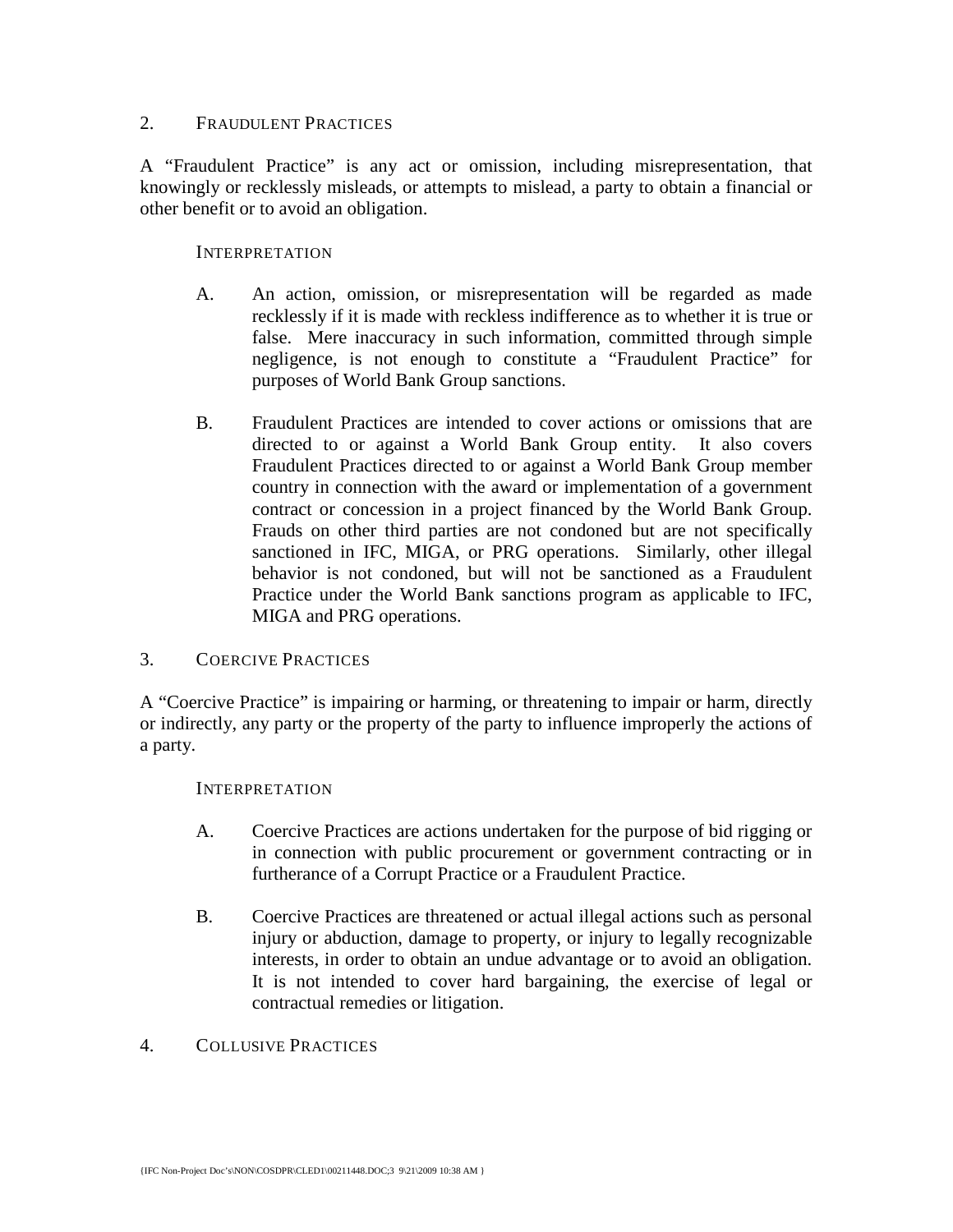# 2. FRAUDULENT PRACTICES

A "Fraudulent Practice" is any act or omission, including misrepresentation, that knowingly or recklessly misleads, or attempts to mislead, a party to obtain a financial or other benefit or to avoid an obligation.

### INTERPRETATION

- A. An action, omission, or misrepresentation will be regarded as made recklessly if it is made with reckless indifference as to whether it is true or false. Mere inaccuracy in such information, committed through simple negligence, is not enough to constitute a "Fraudulent Practice" for purposes of World Bank Group sanctions.
- B. Fraudulent Practices are intended to cover actions or omissions that are directed to or against a World Bank Group entity. It also covers Fraudulent Practices directed to or against a World Bank Group member country in connection with the award or implementation of a government contract or concession in a project financed by the World Bank Group. Frauds on other third parties are not condoned but are not specifically sanctioned in IFC, MIGA, or PRG operations. Similarly, other illegal behavior is not condoned, but will not be sanctioned as a Fraudulent Practice under the World Bank sanctions program as applicable to IFC, MIGA and PRG operations.

## 3. COERCIVE PRACTICES

A "Coercive Practice" is impairing or harming, or threatening to impair or harm, directly or indirectly, any party or the property of the party to influence improperly the actions of a party.

#### INTERPRETATION

- A. Coercive Practices are actions undertaken for the purpose of bid rigging or in connection with public procurement or government contracting or in furtherance of a Corrupt Practice or a Fraudulent Practice.
- B. Coercive Practices are threatened or actual illegal actions such as personal injury or abduction, damage to property, or injury to legally recognizable interests, in order to obtain an undue advantage or to avoid an obligation. It is not intended to cover hard bargaining, the exercise of legal or contractual remedies or litigation.

### 4. COLLUSIVE PRACTICES